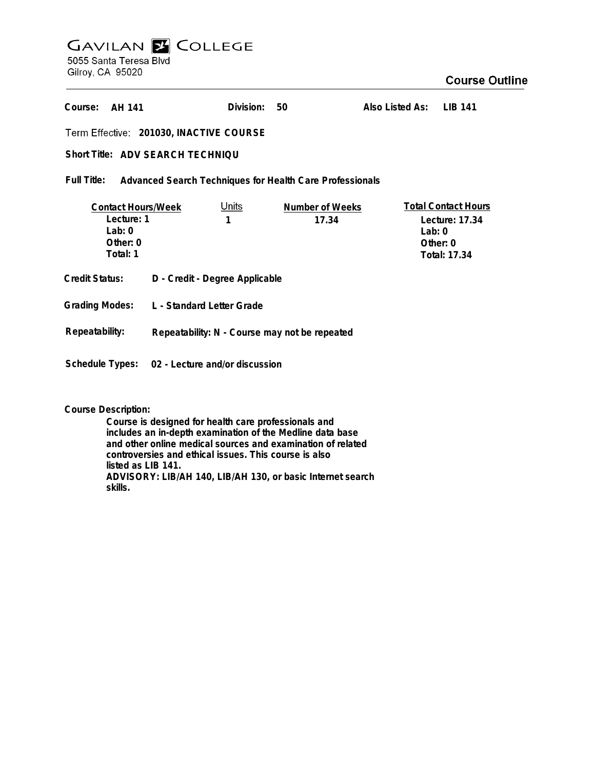# **GAVILAN E COLLEGE** 5055 Santa Teresa Blvd Gilroy, CA 95020

## **Course Outline**

**Division: 50Also Listed As: LIB 141 AH 141 Course: 201030, INACTIVE COURSE** Short Title: ADV SEARCH TECHNIQU **Full Title: Advanced Search Techniques for Health Care Professionals Total Contact Hours Contact Hours/Week** Units **Number of Weeks Lecture: 1 1 17.34 Lecture: 17.34 Lab: 0 Lab: 0 Other: 0 Other: 0 Total: 1 Total: 17.34 Credit Status: D - Credit - Degree Applicable Grading Modes: L - Standard Letter Grade Repeatability: Repeatability: N - Course may not be repeated Schedule Types: 02 - Lecture and/or discussion**

**Course Description:**

**Course is designed for health care professionals and includes an in-depth examination of the Medline data base and other online medical sources and examination of related controversies and ethical issues. This course is also listed as LIB 141. ADVISORY: LIB/AH 140, LIB/AH 130, or basic Internet search skills.**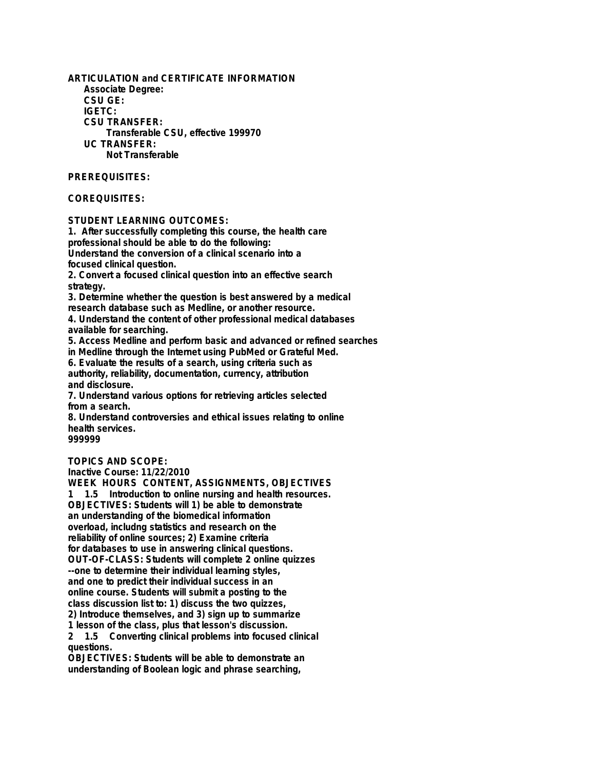**ARTICULATION and CERTIFICATE INFORMATION Associate Degree: CSU GE: IGETC: CSU TRANSFER: Transferable CSU, effective 199970 UC TRANSFER: Not Transferable**

#### **PREREQUISITES:**

#### **COREQUISITES:**

**STUDENT LEARNING OUTCOMES:**

**1. After successfully completing this course, the health care professional should be able to do the following: Understand the conversion of a clinical scenario into a focused clinical question.**

**2. Convert a focused clinical question into an effective search strategy.**

**3. Determine whether the question is best answered by a medical research database such as Medline, or another resource.**

**4. Understand the content of other professional medical databases available for searching.**

**5. Access Medline and perform basic and advanced or refined searches**

**in Medline through the Internet using PubMed or Grateful Med.**

**6. Evaluate the results of a search, using criteria such as authority, reliability, documentation, currency, attribution and disclosure.**

**7. Understand various options for retrieving articles selected from a search.**

**8. Understand controversies and ethical issues relating to online health services.**

**999999**

### **TOPICS AND SCOPE:**

**Inactive Course: 11/22/2010**

**WEEK HOURS CONTENT, ASSIGNMENTS, OBJECTIVES 1 1.5 Introduction to online nursing and health resources. OBJECTIVES: Students will 1) be able to demonstrate an understanding of the biomedical information overload, includng statistics and research on the reliability of online sources; 2) Examine criteria for databases to use in answering clinical questions. OUT-OF-CLASS: Students will complete 2 online quizzes --one to determine their individual learning styles, and one to predict their individual success in an online course. Students will submit a posting to the class discussion list to: 1) discuss the two quizzes, 2) Introduce themselves, and 3) sign up to summarize 1 lesson of the class, plus that lesson's discussion. 2 1.5 Converting clinical problems into focused clinical questions.**

**OBJECTIVES: Students will be able to demonstrate an understanding of Boolean logic and phrase searching,**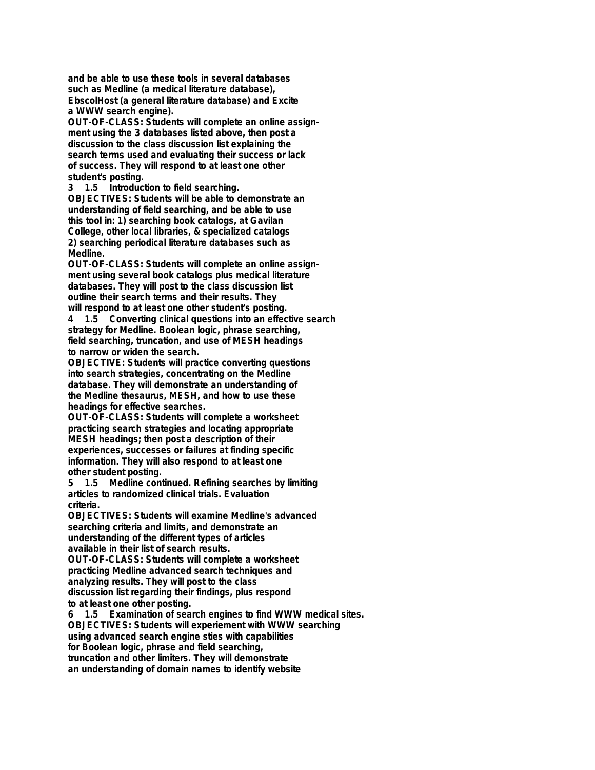**and be able to use these tools in several databases such as Medline (a medical literature database), EbscolHost (a general literature database) and Excite a WWW search engine).**

**OUT-OF-CLASS: Students will complete an online assignment using the 3 databases listed above, then post a discussion to the class discussion list explaining the search terms used and evaluating their success or lack of success. They will respond to at least one other student's posting.**

**3 1.5 Introduction to field searching. OBJECTIVES: Students will be able to demonstrate an understanding of field searching, and be able to use this tool in: 1) searching book catalogs, at Gavilan College, other local libraries, & specialized catalogs 2) searching periodical literature databases such as Medline.**

**OUT-OF-CLASS: Students will complete an online assignment using several book catalogs plus medical literature databases. They will post to the class discussion list outline their search terms and their results. They will respond to at least one other student's posting.**

**4 1.5 Converting clinical questions into an effective search strategy for Medline. Boolean logic, phrase searching, field searching, truncation, and use of MESH headings to narrow or widen the search.**

**OBJECTIVE: Students will practice converting questions into search strategies, concentrating on the Medline database. They will demonstrate an understanding of the Medline thesaurus, MESH, and how to use these headings for effective searches.**

**OUT-OF-CLASS: Students will complete a worksheet practicing search strategies and locating appropriate MESH headings; then post a description of their experiences, successes or failures at finding specific information. They will also respond to at least one other student posting.**

**5 1.5 Medline continued. Refining searches by limiting articles to randomized clinical trials. Evaluation criteria.**

**OBJECTIVES: Students will examine Medline's advanced searching criteria and limits, and demonstrate an understanding of the different types of articles available in their list of search results.**

**OUT-OF-CLASS: Students will complete a worksheet practicing Medline advanced search techniques and analyzing results. They will post to the class discussion list regarding their findings, plus respond to at least one other posting.**

**6 1.5 Examination of search engines to find WWW medical sites. OBJECTIVES: Students will experiement with WWW searching using advanced search engine sties with capabilities for Boolean logic, phrase and field searching, truncation and other limiters. They will demonstrate an understanding of domain names to identify website**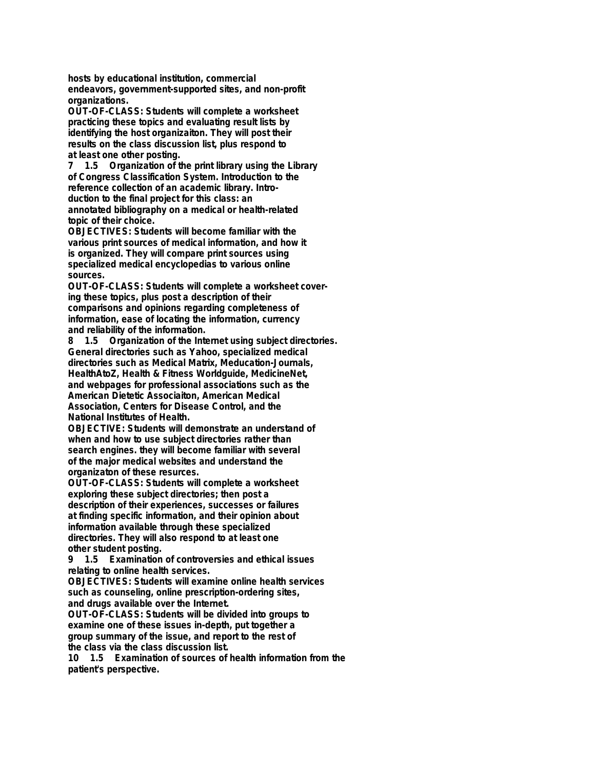**hosts by educational institution, commercial endeavors, government-supported sites, and non-profit organizations.**

**OUT-OF-CLASS: Students will complete a worksheet practicing these topics and evaluating result lists by identifying the host organizaiton. They will post their results on the class discussion list, plus respond to at least one other posting.**

**7 1.5 Organization of the print library using the Library of Congress Classification System. Introduction to the reference collection of an academic library. Introduction to the final project for this class: an annotated bibliography on a medical or health-related topic of their choice.**

**OBJECTIVES: Students will become familiar with the various print sources of medical information, and how it is organized. They will compare print sources using specialized medical encyclopedias to various online sources.**

**OUT-OF-CLASS: Students will complete a worksheet covering these topics, plus post a description of their comparisons and opinions regarding completeness of information, ease of locating the information, currency and reliability of the information.**

**8 1.5 Organization of the Internet using subject directories. General directories such as Yahoo, specialized medical directories such as Medical Matrix, Meducation-Journals, HealthAtoZ, Health & Fitness Worldguide, MedicineNet, and webpages for professional associations such as the American Dietetic Associaiton, American Medical Association, Centers for Disease Control, and the National Institutes of Health.**

**OBJECTIVE: Students will demonstrate an understand of when and how to use subject directories rather than search engines. they will become familiar with several of the major medical websites and understand the organizaton of these resurces.**

**OUT-OF-CLASS: Students will complete a worksheet exploring these subject directories; then post a description of their experiences, successes or failures at finding specific information, and their opinion about information available through these specialized directories. They will also respond to at least one other student posting.**

**9 1.5 Examination of controversies and ethical issues relating to online health services.**

**OBJECTIVES: Students will examine online health services such as counseling, online prescription-ordering sites, and drugs available over the Internet.**

**OUT-OF-CLASS: Students will be divided into groups to examine one of these issues in-depth, put together a group summary of the issue, and report to the rest of the class via the class discussion list.**

**10 1.5 Examination of sources of health information from the patient's perspective.**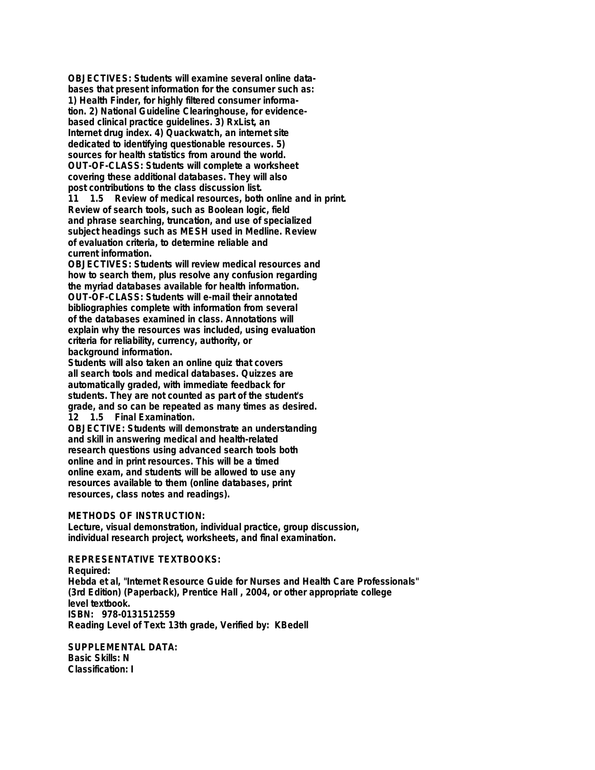**OBJECTIVES: Students will examine several online databases that present information for the consumer such as: 1) Health Finder, for highly filtered consumer information. 2) National Guideline Clearinghouse, for evidencebased clinical practice guidelines. 3) RxList, an Internet drug index. 4) Quackwatch, an internet site dedicated to identifying questionable resources. 5) sources for health statistics from around the world. OUT-OF-CLASS: Students will complete a worksheet covering these additional databases. They will also post contributions to the class discussion list.**

**11 1.5 Review of medical resources, both online and in print. Review of search tools, such as Boolean logic, field and phrase searching, truncation, and use of specialized subject headings such as MESH used in Medline. Review of evaluation criteria, to determine reliable and current information.**

**OBJECTIVES: Students will review medical resources and how to search them, plus resolve any confusion regarding the myriad databases available for health information. OUT-OF-CLASS: Students will e-mail their annotated bibliographies complete with information from several of the databases examined in class. Annotations will explain why the resources was included, using evaluation criteria for reliability, currency, authority, or background information.**

**Students will also taken an online quiz that covers all search tools and medical databases. Quizzes are automatically graded, with immediate feedback for students. They are not counted as part of the student's grade, and so can be repeated as many times as desired. 12 1.5 Final Examination.**

**OBJECTIVE: Students will demonstrate an understanding and skill in answering medical and health-related research questions using advanced search tools both online and in print resources. This will be a timed online exam, and students will be allowed to use any resources available to them (online databases, print resources, class notes and readings).**

**METHODS OF INSTRUCTION:**

**Lecture, visual demonstration, individual practice, group discussion, individual research project, worksheets, and final examination.**

**REPRESENTATIVE TEXTBOOKS: Required: Hebda et al, "Internet Resource Guide for Nurses and Health Care Professionals" (3rd Edition) (Paperback), Prentice Hall , 2004, or other appropriate college level textbook. ISBN: 978-0131512559 Reading Level of Text: 13th grade, Verified by: KBedell**

**SUPPLEMENTAL DATA: Basic Skills: N Classification: I**